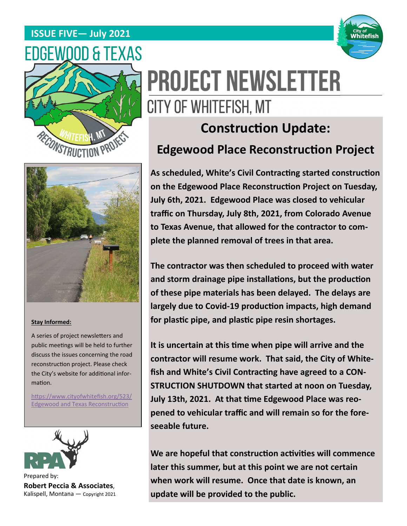## **ISSUE FIVE— July 2021**







# **Construction Update: Edgewood Place Reconstruction Project**



**The contractor was then scheduled to proceed with water and storm drainage pipe installaƟons, but the producƟon of these pipe materials has been delayed. The delays are**  largely due to Covid-19 production impacts, high demand **for plasƟc pipe, and plasƟc pipe resin shortages.** 

**It is uncertain at this time when pipe will arrive and the contractor will resume work. That said, the City of White**fish and White's Civil Contracting have agreed to a CON-**STRUCTION SHUTDOWN that started at noon on Tuesday, July 13th, 2021. At that Ɵme Edgewood Place was reopened to vehicular traffic and will remain so for the foreseeable future.** 

**We are hopeful that construcƟon acƟviƟes will commence later this summer, but at this point we are not certain when work will resume. Once that date is known, an update will be provided to the public.** 



#### **Stay Informed:**

A series of project newsletters and public meetings will be held to further discuss the issues concerning the road reconstruction project. Please check the City's website for additional information.

https://www.cityofwhitefish.org/523/ **Edgewood and Texas Reconstruction** 



Prepared by: **Robert Peccia & Associates**, Kalispell, Montana — Copyright 2021